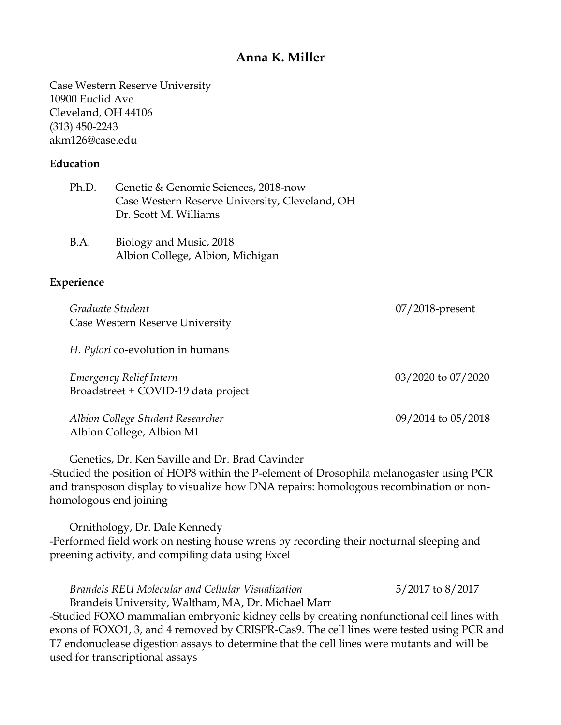# **Anna K. Miller**

Case Western Reserve University 10900 Euclid Ave Cleveland, OH 44106 (313) 450-2243 akm126@case.edu

#### **Education**

| Ph.D. Genetic & Genomic Sciences, 2018-now     |
|------------------------------------------------|
| Case Western Reserve University, Cleveland, OH |
| Dr. Scott M. Williams                          |

| B.A. | Biology and Music, 2018          |
|------|----------------------------------|
|      | Albion College, Albion, Michigan |

#### **Experience**

| Graduate Student<br>Case Western Reserve University            | $07/2018$ -present |
|----------------------------------------------------------------|--------------------|
| H. Pylori co-evolution in humans                               |                    |
| Emergency Relief Intern<br>Broadstreet + COVID-19 data project | 03/2020 to 07/2020 |
| Albion College Student Researcher<br>Albion College, Albion MI | 09/2014 to 05/2018 |

Genetics, Dr. Ken Saville and Dr. Brad Cavinder -Studied the position of HOP8 within the P-element of Drosophila melanogaster using PCR and transposon display to visualize how DNA repairs: homologous recombination or nonhomologous end joining

Ornithology, Dr. Dale Kennedy -Performed field work on nesting house wrens by recording their nocturnal sleeping and preening activity, and compiling data using Excel

*Brandeis REU Molecular and Cellular Visualization* 5/2017 to 8/2017 Brandeis University, Waltham, MA, Dr. Michael Marr -Studied FOXO mammalian embryonic kidney cells by creating nonfunctional cell lines with exons of FOXO1, 3, and 4 removed by CRISPR-Cas9. The cell lines were tested using PCR and T7 endonuclease digestion assays to determine that the cell lines were mutants and will be used for transcriptional assays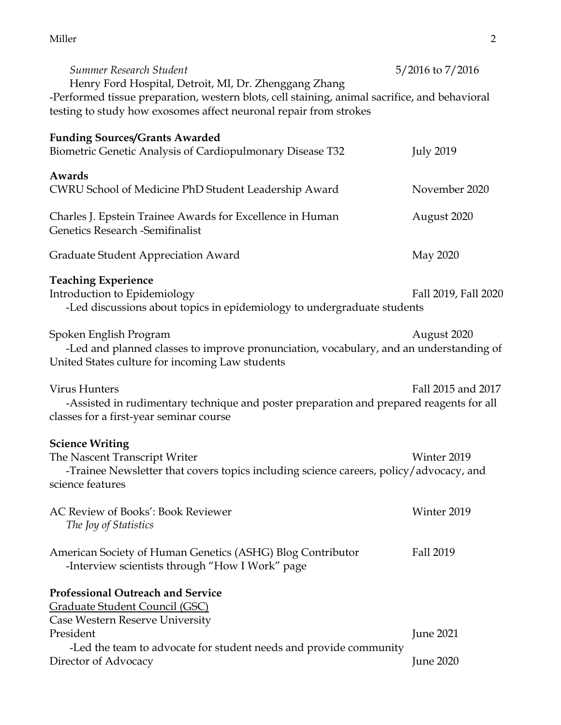#### Miller 2016 **2016**

| Summer Research Student                                                                                                                                                                                                     | $5/2016$ to $7/2016$ |
|-----------------------------------------------------------------------------------------------------------------------------------------------------------------------------------------------------------------------------|----------------------|
| Henry Ford Hospital, Detroit, MI, Dr. Zhenggang Zhang<br>-Performed tissue preparation, western blots, cell staining, animal sacrifice, and behavioral<br>testing to study how exosomes affect neuronal repair from strokes |                      |
| <b>Funding Sources/Grants Awarded</b><br><b>Biometric Genetic Analysis of Cardiopulmonary Disease T32</b>                                                                                                                   | <b>July 2019</b>     |
| Awards<br>CWRU School of Medicine PhD Student Leadership Award                                                                                                                                                              | November 2020        |
| Charles J. Epstein Trainee Awards for Excellence in Human<br><b>Genetics Research -Semifinalist</b>                                                                                                                         | August 2020          |
| <b>Graduate Student Appreciation Award</b>                                                                                                                                                                                  | May 2020             |
| <b>Teaching Experience</b><br>Introduction to Epidemiology<br>-Led discussions about topics in epidemiology to undergraduate students                                                                                       | Fall 2019, Fall 2020 |
| Spoken English Program<br>-Led and planned classes to improve pronunciation, vocabulary, and an understanding of<br>United States culture for incoming Law students                                                         | August 2020          |
| <b>Virus Hunters</b><br>-Assisted in rudimentary technique and poster preparation and prepared reagents for all<br>classes for a first-year seminar course                                                                  | Fall 2015 and 2017   |
| <b>Science Writing</b><br>The Nascent Transcript Writer<br>-Trainee Newsletter that covers topics including science careers, policy/advocacy, and<br>science features                                                       | Winter 2019          |
| <b>AC Review of Books': Book Reviewer</b><br>The Joy of Statistics                                                                                                                                                          | Winter 2019          |
| American Society of Human Genetics (ASHG) Blog Contributor<br>-Interview scientists through "How I Work" page                                                                                                               | Fall 2019            |
| <b>Professional Outreach and Service</b><br><u> Graduate Student Council (GSC)</u>                                                                                                                                          |                      |
| Case Western Reserve University<br>President<br>-Led the team to advocate for student needs and provide community                                                                                                           | <b>June 2021</b>     |
| Director of Advocacy                                                                                                                                                                                                        | <b>June 2020</b>     |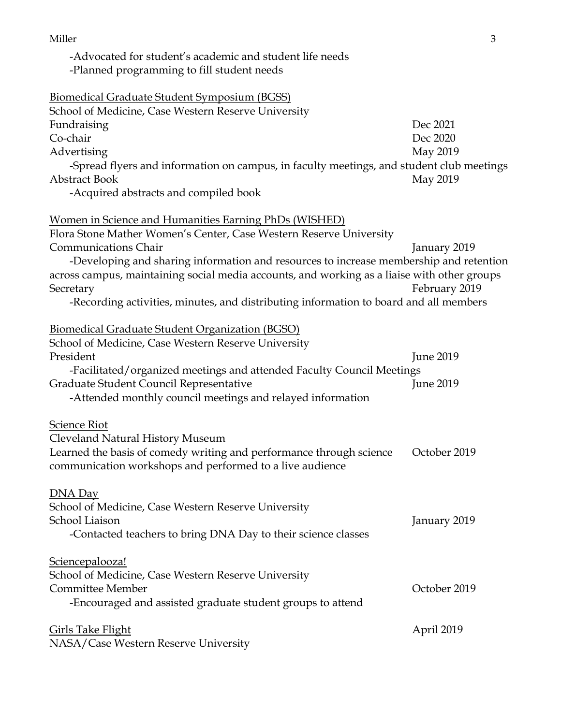Miller 3

-Advocated for student's academic and student life needs

-Planned programming to fill student needs

| <b>Biomedical Graduate Student Symposium (BGSS)</b>                                         |                  |
|---------------------------------------------------------------------------------------------|------------------|
| School of Medicine, Case Western Reserve University                                         |                  |
| Fundraising                                                                                 | Dec 2021         |
| Co-chair                                                                                    | Dec 2020         |
| Advertising                                                                                 | May 2019         |
| -Spread flyers and information on campus, in faculty meetings, and student club meetings    |                  |
| <b>Abstract Book</b>                                                                        | May 2019         |
| -Acquired abstracts and compiled book                                                       |                  |
| <b>Women in Science and Humanities Earning PhDs (WISHED)</b>                                |                  |
| Flora Stone Mather Women's Center, Case Western Reserve University                          |                  |
| <b>Communications Chair</b>                                                                 | January 2019     |
| -Developing and sharing information and resources to increase membership and retention      |                  |
| across campus, maintaining social media accounts, and working as a liaise with other groups |                  |
| Secretary                                                                                   | February 2019    |
| -Recording activities, minutes, and distributing information to board and all members       |                  |
| Biomedical Graduate Student Organization (BGSO)                                             |                  |
| School of Medicine, Case Western Reserve University                                         |                  |
| President                                                                                   | <b>June 2019</b> |
| -Facilitated/organized meetings and attended Faculty Council Meetings                       |                  |
| Graduate Student Council Representative                                                     | <b>June 2019</b> |
| -Attended monthly council meetings and relayed information                                  |                  |
| Science Riot                                                                                |                  |
| Cleveland Natural History Museum                                                            |                  |
| Learned the basis of comedy writing and performance through science                         | October 2019     |
| communication workshops and performed to a live audience                                    |                  |
| DNA Day                                                                                     |                  |
| School of Medicine, Case Western Reserve University                                         |                  |
| School Liaison                                                                              | January 2019     |
| -Contacted teachers to bring DNA Day to their science classes                               |                  |
| Sciencepalooza!                                                                             |                  |
| School of Medicine, Case Western Reserve University                                         |                  |
| Committee Member                                                                            | October 2019     |
| -Encouraged and assisted graduate student groups to attend                                  |                  |
| <b>Girls Take Flight</b>                                                                    | April 2019       |
| NASA/Case Western Reserve University                                                        |                  |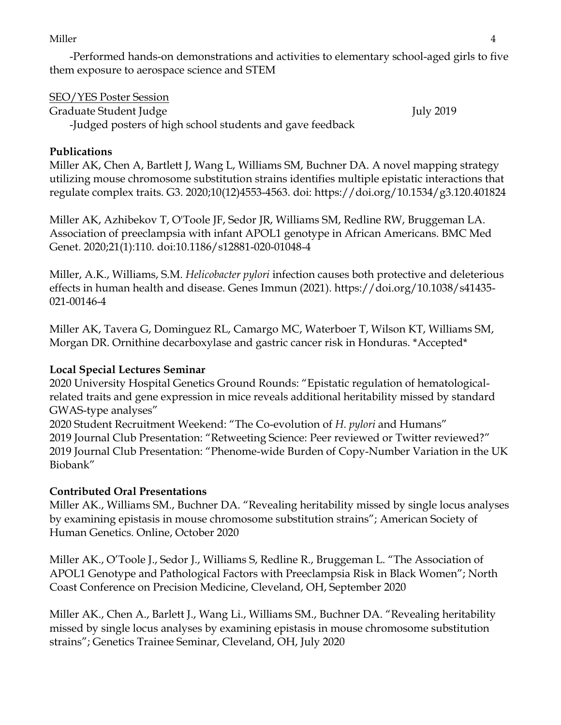#### Miller the contract of the contract of the contract of the contract of the contract of the contract of the contract of the contract of the contract of the contract of the contract of the contract of the contract of the con

-Performed hands-on demonstrations and activities to elementary school-aged girls to five them exposure to aerospace science and STEM

# SEO/YES Poster Session

Graduate Student Judge July 2019 -Judged posters of high school students and gave feedback

# **Publications**

Miller AK, Chen A, Bartlett J, Wang L, Williams SM, Buchner DA. A novel mapping strategy utilizing mouse chromosome substitution strains identifies multiple epistatic interactions that regulate complex traits. G3. 2020;10(12)4553-4563. doi: https://doi.org/10.1534/g3.120.401824

Miller AK, Azhibekov T, O'Toole JF, Sedor JR, Williams SM, Redline RW, Bruggeman LA. Association of preeclampsia with infant APOL1 genotype in African Americans. BMC Med Genet. 2020;21(1):110. doi:10.1186/s12881-020-01048-4

Miller, A.K., Williams, S.M. *Helicobacter pylori* infection causes both protective and deleterious effects in human health and disease. Genes Immun (2021). https://doi.org/10.1038/s41435- 021-00146-4

Miller AK, Tavera G, Dominguez RL, Camargo MC, Waterboer T, Wilson KT, Williams SM, Morgan DR. Ornithine decarboxylase and gastric cancer risk in Honduras. \*Accepted\*

# **Local Special Lectures Seminar**

2020 University Hospital Genetics Ground Rounds: "Epistatic regulation of hematologicalrelated traits and gene expression in mice reveals additional heritability missed by standard GWAS-type analyses"

2020 Student Recruitment Weekend: "The Co-evolution of *H. pylori* and Humans" 2019 Journal Club Presentation: "Retweeting Science: Peer reviewed or Twitter reviewed?" 2019 Journal Club Presentation: "Phenome-wide Burden of Copy-Number Variation in the UK Biobank"

# **Contributed Oral Presentations**

Miller AK., Williams SM., Buchner DA. "Revealing heritability missed by single locus analyses by examining epistasis in mouse chromosome substitution strains"; American Society of Human Genetics. Online, October 2020

Miller AK., O'Toole J., Sedor J., Williams S, Redline R., Bruggeman L. "The Association of APOL1 Genotype and Pathological Factors with Preeclampsia Risk in Black Women"; North Coast Conference on Precision Medicine, Cleveland, OH, September 2020

Miller AK., Chen A., Barlett J., Wang Li., Williams SM., Buchner DA. "Revealing heritability missed by single locus analyses by examining epistasis in mouse chromosome substitution strains"; Genetics Trainee Seminar, Cleveland, OH, July 2020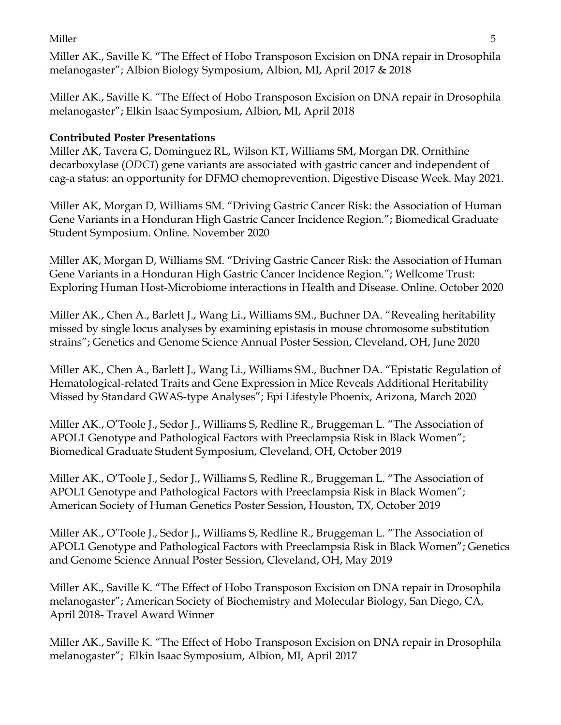Miller 5

Miller AK., Saville K. "The Effect of Hobo Transposon Excision on DNA repair in Drosophila melanogaster"; Albion Biology Symposium, Albion, MI, April 2017 & 2018

Miller AK., Saville K. "The Effect of Hobo Transposon Excision on DNA repair in Drosophila melanogaster"; Elkin Isaac Symposium, Albion, MI, April 2018

# **Contributed Poster Presentations**

Miller AK, Tavera G, Dominguez RL, Wilson KT, Williams SM, Morgan DR. Ornithine decarboxylase (*ODC1*) gene variants are associated with gastric cancer and independent of cag-a status: an opportunity for DFMO chemoprevention. Digestive Disease Week. May 2021.

Miller AK, Morgan D, Williams SM. "Driving Gastric Cancer Risk: the Association of Human Gene Variants in a Honduran High Gastric Cancer Incidence Region."; Biomedical Graduate Student Symposium. Online. November 2020

Miller AK, Morgan D, Williams SM. "Driving Gastric Cancer Risk: the Association of Human Gene Variants in a Honduran High Gastric Cancer Incidence Region."; Wellcome Trust: Exploring Human Host-Microbiome interactions in Health and Disease. Online. October 2020

Miller AK., Chen A., Barlett J., Wang Li., Williams SM., Buchner DA. "Revealing heritability missed by single locus analyses by examining epistasis in mouse chromosome substitution strains"; Genetics and Genome Science Annual Poster Session, Cleveland, OH, June 2020

Miller AK., Chen A., Barlett J., Wang Li., Williams SM., Buchner DA. "Epistatic Regulation of Hematological-related Traits and Gene Expression in Mice Reveals Additional Heritability Missed by Standard GWAS-type Analyses"; Epi Lifestyle Phoenix, Arizona, March 2020

Miller AK., O'Toole J., Sedor J., Williams S, Redline R., Bruggeman L. "The Association of APOL1 Genotype and Pathological Factors with Preeclampsia Risk in Black Women"; Biomedical Graduate Student Symposium, Cleveland, OH, October 2019

Miller AK., O'Toole J., Sedor J., Williams S, Redline R., Bruggeman L. "The Association of APOL1 Genotype and Pathological Factors with Preeclampsia Risk in Black Women"; American Society of Human Genetics Poster Session, Houston, TX, October 2019

Miller AK., O'Toole J., Sedor J., Williams S, Redline R., Bruggeman L. "The Association of APOL1 Genotype and Pathological Factors with Preeclampsia Risk in Black Women"; Genetics and Genome Science Annual Poster Session, Cleveland, OH, May 2019

Miller AK., Saville K. "The Effect of Hobo Transposon Excision on DNA repair in Drosophila melanogaster"; American Society of Biochemistry and Molecular Biology, San Diego, CA, April 2018- Travel Award Winner

Miller AK., Saville K. "The Effect of Hobo Transposon Excision on DNA repair in Drosophila melanogaster"; Elkin Isaac Symposium, Albion, MI, April 2017